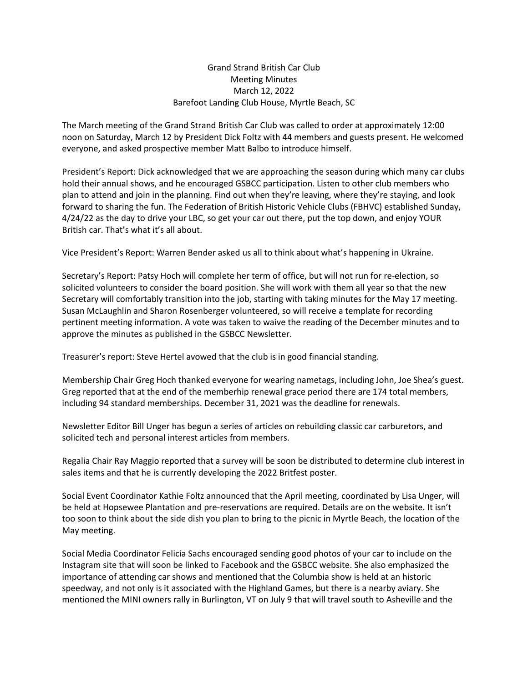## Grand Strand British Car Club Meeting Minutes March 12, 2022 Barefoot Landing Club House, Myrtle Beach, SC

The March meeting of the Grand Strand British Car Club was called to order at approximately 12:00 noon on Saturday, March 12 by President Dick Foltz with 44 members and guests present. He welcomed everyone, and asked prospective member Matt Balbo to introduce himself.

President's Report: Dick acknowledged that we are approaching the season during which many car clubs hold their annual shows, and he encouraged GSBCC participation. Listen to other club members who plan to attend and join in the planning. Find out when they're leaving, where they're staying, and look forward to sharing the fun. The Federation of British Historic Vehicle Clubs (FBHVC) established Sunday, 4/24/22 as the day to drive your LBC, so get your car out there, put the top down, and enjoy YOUR British car. That's what it's all about.

Vice President's Report: Warren Bender asked us all to think about what's happening in Ukraine.

Secretary's Report: Patsy Hoch will complete her term of office, but will not run for re-election, so solicited volunteers to consider the board position. She will work with them all year so that the new Secretary will comfortably transition into the job, starting with taking minutes for the May 17 meeting. Susan McLaughlin and Sharon Rosenberger volunteered, so will receive a template for recording pertinent meeting information. A vote was taken to waive the reading of the December minutes and to approve the minutes as published in the GSBCC Newsletter.

Treasurer's report: Steve Hertel avowed that the club is in good financial standing.

Membership Chair Greg Hoch thanked everyone for wearing nametags, including John, Joe Shea's guest. Greg reported that at the end of the memberhip renewal grace period there are 174 total members, including 94 standard memberships. December 31, 2021 was the deadline for renewals.

Newsletter Editor Bill Unger has begun a series of articles on rebuilding classic car carburetors, and solicited tech and personal interest articles from members.

Regalia Chair Ray Maggio reported that a survey will be soon be distributed to determine club interest in sales items and that he is currently developing the 2022 Britfest poster.

Social Event Coordinator Kathie Foltz announced that the April meeting, coordinated by Lisa Unger, will be held at Hopsewee Plantation and pre-reservations are required. Details are on the website. It isn't too soon to think about the side dish you plan to bring to the picnic in Myrtle Beach, the location of the May meeting.

Social Media Coordinator Felicia Sachs encouraged sending good photos of your car to include on the Instagram site that will soon be linked to Facebook and the GSBCC website. She also emphasized the importance of attending car shows and mentioned that the Columbia show is held at an historic speedway, and not only is it associated with the Highland Games, but there is a nearby aviary. She mentioned the MINI owners rally in Burlington, VT on July 9 that will travel south to Asheville and the